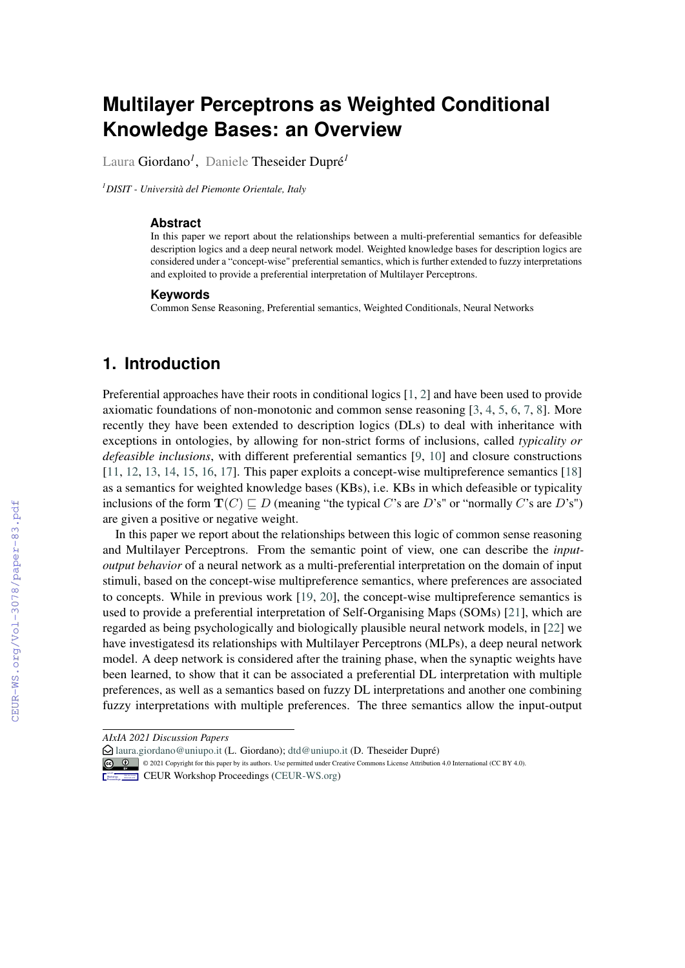# **Multilayer Perceptrons as Weighted Conditional Knowledge Bases: an Overview**

Laura Giordano*<sup>1</sup>* , Daniele Theseider Dupré*<sup>1</sup>*

*<sup>1</sup>DISIT - Università del Piemonte Orientale, Italy*

#### **Abstract**

In this paper we report about the relationships between a multi-preferential semantics for defeasible description logics and a deep neural network model. Weighted knowledge bases for description logics are considered under a "concept-wise" preferential semantics, which is further extended to fuzzy interpretations and exploited to provide a preferential interpretation of Multilayer Perceptrons.

#### **Keywords**

Common Sense Reasoning, Preferential semantics, Weighted Conditionals, Neural Networks

# **1. Introduction**

Preferential approaches have their roots in conditional logics [\[1,](#page--1-0) [2\]](#page--1-1) and have been used to provide axiomatic foundations of non-monotonic and common sense reasoning [\[3,](#page--1-2) [4,](#page--1-3) [5,](#page--1-4) [6,](#page--1-5) [7,](#page--1-6) [8\]](#page--1-7). More recently they have been extended to description logics (DLs) to deal with inheritance with exceptions in ontologies, by allowing for non-strict forms of inclusions, called *typicality or defeasible inclusions*, with different preferential semantics [\[9,](#page--1-8) [10\]](#page--1-9) and closure constructions [\[11,](#page--1-10) [12,](#page--1-11) [13,](#page--1-12) [14,](#page--1-13) [15,](#page--1-14) [16,](#page--1-15) [17\]](#page--1-16). This paper exploits a concept-wise multipreference semantics [\[18\]](#page--1-17) as a semantics for weighted knowledge bases (KBs), i.e. KBs in which defeasible or typicality inclusions of the form  $\mathbf{T}(C) \sqsubset D$  (meaning "the typical C's are D's" or "normally C's are D's") are given a positive or negative weight.

In this paper we report about the relationships between this logic of common sense reasoning and Multilayer Perceptrons. From the semantic point of view, one can describe the *inputoutput behavior* of a neural network as a multi-preferential interpretation on the domain of input stimuli, based on the concept-wise multipreference semantics, where preferences are associated to concepts. While in previous work [\[19,](#page--1-18) [20\]](#page--1-19), the concept-wise multipreference semantics is used to provide a preferential interpretation of Self-Organising Maps (SOMs) [\[21\]](#page--1-20), which are regarded as being psychologically and biologically plausible neural network models, in [\[22\]](#page--1-21) we have investigatesd its relationships with Multilayer Perceptrons (MLPs), a deep neural network model. A deep network is considered after the training phase, when the synaptic weights have been learned, to show that it can be associated a preferential DL interpretation with multiple preferences, as well as a semantics based on fuzzy DL interpretations and another one combining fuzzy interpretations with multiple preferences. The three semantics allow the input-output

*AIxIA 2021 Discussion Papers*

 $\bigcirc$  [laura.giordano@uniupo.it](mailto:laura.giordano@uniupo.it) (L. Giordano); [dtd@uniupo.it](mailto:dtd@uniupo.it) (D. Theseider Dupré)

**Co**  $\bullet$  © 2021 Copyright for this paper by its authors. Use permitted under Creative Commons License Attribution 4.0 International (CC BY 4.0).

**CEUR Workshop [Proceedings](http://ceur-ws.org) [\(CEUR-WS.org\)](http://ceur-ws.org)**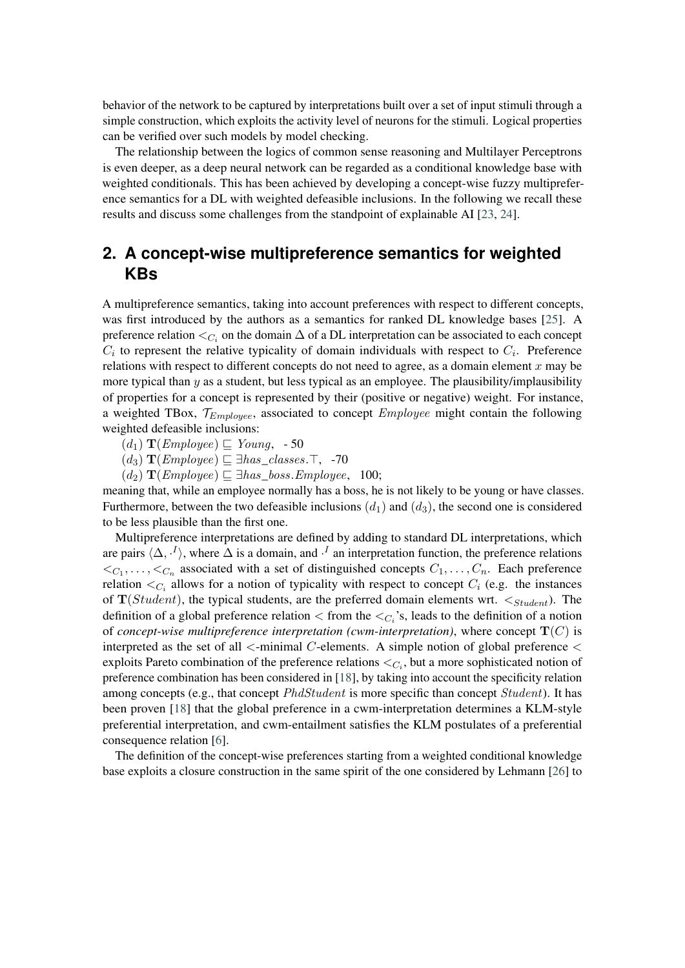behavior of the network to be captured by interpretations built over a set of input stimuli through a simple construction, which exploits the activity level of neurons for the stimuli. Logical properties can be verified over such models by model checking.

The relationship between the logics of common sense reasoning and Multilayer Perceptrons is even deeper, as a deep neural network can be regarded as a conditional knowledge base with weighted conditionals. This has been achieved by developing a concept-wise fuzzy multipreference semantics for a DL with weighted defeasible inclusions. In the following we recall these results and discuss some challenges from the standpoint of explainable AI [\[23,](#page-6-0) [24\]](#page-6-1).

# <span id="page-1-0"></span>**2. A concept-wise multipreference semantics for weighted KBs**

A multipreference semantics, taking into account preferences with respect to different concepts, was first introduced by the authors as a semantics for ranked DL knowledge bases [\[25\]](#page-6-2). A preference relation  $\lt_{C_i}$  on the domain  $\Delta$  of a DL interpretation can be associated to each concept  $C_i$  to represent the relative typicality of domain individuals with respect to  $C_i$ . Preference relations with respect to different concepts do not need to agree, as a domain element  $x$  may be more typical than  $y$  as a student, but less typical as an employee. The plausibility/implausibility of properties for a concept is represented by their (positive or negative) weight. For instance, a weighted TBox,  $\mathcal{T}_{Employee}$ , associated to concept  $Employee$  might contain the following weighted defeasible inclusions:

- $(d_1)$  **T**(*Employee*)  $\subseteq$  *Young*, 50
- $(d_3)$  **T**(*Employee*)  $\subseteq \exists has\_classes.\top$ , -70
- $(d_2)$  **T**(*Employee*)  $\sqsubseteq$  ∃*has\_boss.Employee*, 100;

meaning that, while an employee normally has a boss, he is not likely to be young or have classes. Furthermore, between the two defeasible inclusions  $(d_1)$  and  $(d_3)$ , the second one is considered to be less plausible than the first one.

Multipreference interpretations are defined by adding to standard DL interpretations, which are pairs  $\langle \Delta, \cdot^I \rangle$ , where  $\Delta$  is a domain, and  $\cdot^I$  an interpretation function, the preference relations  $\langle C_1, \ldots, C_n \rangle$  associated with a set of distinguished concepts  $C_1, \ldots, C_n$ . Each preference relation  $\langle C_i$  allows for a notion of typicality with respect to concept  $C_i$  (e.g. the instances of  $T(Student)$ , the typical students, are the preferred domain elements wrt.  $\lt_{Student}$ ). The definition of a global preference relation  $\langle$  from the  $\langle C_i \rangle$ s, leads to the definition of a notion of *concept-wise multipreference interpretation (cwm-interpretation)*, where concept  $\mathbf{T}(C)$  is interpreted as the set of all  $\le$ -minimal C-elements. A simple notion of global preference  $\le$ exploits Pareto combination of the preference relations  $\lt_{C_i}$ , but a more sophisticated notion of preference combination has been considered in [\[18\]](#page-6-3), by taking into account the specificity relation among concepts (e.g., that concept *PhdStudent* is more specific than concept *Student*). It has been proven [\[18\]](#page-6-3) that the global preference in a cwm-interpretation determines a KLM-style preferential interpretation, and cwm-entailment satisfies the KLM postulates of a preferential consequence relation [\[6\]](#page-5-0).

The definition of the concept-wise preferences starting from a weighted conditional knowledge base exploits a closure construction in the same spirit of the one considered by Lehmann [\[26\]](#page-6-4) to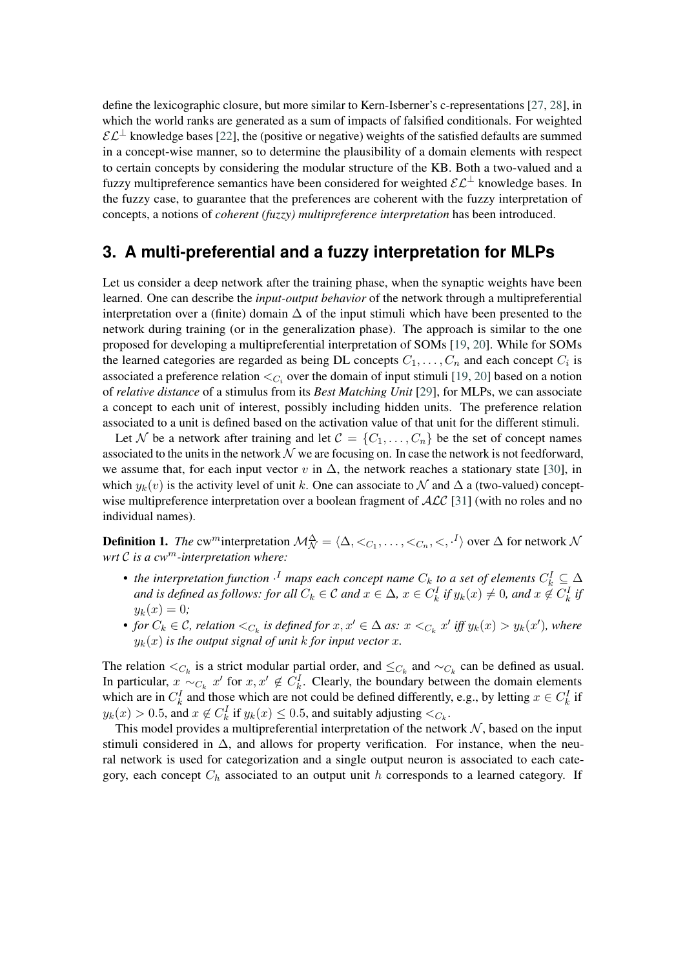define the lexicographic closure, but more similar to Kern-Isberner's c-representations [\[27,](#page-6-5) [28\]](#page-6-6), in which the world ranks are generated as a sum of impacts of falsified conditionals. For weighted  $\mathcal{EL}^{\perp}$  knowledge bases [\[22\]](#page-6-7), the (positive or negative) weights of the satisfied defaults are summed in a concept-wise manner, so to determine the plausibility of a domain elements with respect to certain concepts by considering the modular structure of the KB. Both a two-valued and a fuzzy multipreference semantics have been considered for weighted  $\mathcal{E} \mathcal{L}^{\perp}$  knowledge bases. In the fuzzy case, to guarantee that the preferences are coherent with the fuzzy interpretation of concepts, a notions of *coherent (fuzzy) multipreference interpretation* has been introduced.

# **3. A multi-preferential and a fuzzy interpretation for MLPs**

Let us consider a deep network after the training phase, when the synaptic weights have been learned. One can describe the *input-output behavior* of the network through a multipreferential interpretation over a (finite) domain  $\Delta$  of the input stimuli which have been presented to the network during training (or in the generalization phase). The approach is similar to the one proposed for developing a multipreferential interpretation of SOMs [\[19,](#page-6-8) [20\]](#page-6-9). While for SOMs the learned categories are regarded as being DL concepts  $C_1, \ldots, C_n$  and each concept  $C_i$  is associated a preference relation  $\lt_{C_i}$  over the domain of input stimuli [\[19,](#page-6-8) [20\]](#page-6-9) based on a notion of *relative distance* of a stimulus from its *Best Matching Unit* [\[29\]](#page-6-10), for MLPs, we can associate a concept to each unit of interest, possibly including hidden units. The preference relation associated to a unit is defined based on the activation value of that unit for the different stimuli.

Let N be a network after training and let  $\mathcal{C} = \{C_1, \ldots, C_n\}$  be the set of concept names associated to the units in the network  $\mathcal N$  we are focusing on. In case the network is not feedforward, we assume that, for each input vector  $v$  in  $\Delta$ , the network reaches a stationary state [\[30\]](#page-7-0), in which  $y_k(v)$  is the activity level of unit k. One can associate to  $\mathcal N$  and  $\Delta$  a (two-valued) conceptwise multipreference interpretation over a boolean fragment of  $\text{ACC}$  [\[31\]](#page-7-1) (with no roles and no individual names).

**Definition 1.** *The* cw<sup>*m*</sup> interpretation  $\mathcal{M}_{\mathcal{N}}^{\Delta} = \langle \Delta, \langle C_1, \ldots, \langle C_n, \langle \cdot, \cdot \rangle \rangle$  over  $\Delta$  for network  $\mathcal{N}$ *wrt is a cw-interpretation where:*

- the interpretation function  $\cdot^I$  maps each concept name  $C_k$  to a set of elements  $C_k^I \subseteq \Delta$ and is defined as follows: for all  $C_k \in \mathcal{C}$  and  $x \in \Delta$ ,  $x \in C_k^I$  if  $y_k(x) \neq 0$ , and  $x \notin C_k^I$  if  $y_k(x) = 0;$
- *for*  $C_k \in \mathcal{C}$ , relation  $\lt_{C_k}$  is defined for  $x, x' \in \Delta$  as:  $x \lt_{C_k} x'$  iff  $y_k(x) > y_k(x')$ , where  $y_k(x)$  *is the output signal of unit k for input vector x.*

The relation  $\lt_{C_k}$  is a strict modular partial order, and  $\leq_{C_k}$  and  $\lt_{C_k}$  can be defined as usual. In particular,  $x \sim_{C_k} x'$  for  $x, x' \notin C_k^I$ . Clearly, the boundary between the domain elements which are in  $C_k^I$  and those which are not could be defined differently, e.g., by letting  $x \in C_k^I$  if  $y_k(x) > 0.5$ , and  $x \notin C_k^I$  if  $y_k(x) \le 0.5$ , and suitably adjusting  $\langle C_k, \cdot \rangle$ 

This model provides a multipreferential interpretation of the network  $N$ , based on the input stimuli considered in  $\Delta$ , and allows for property verification. For instance, when the neural network is used for categorization and a single output neuron is associated to each category, each concept  $C<sub>h</sub>$  associated to an output unit h corresponds to a learned category. If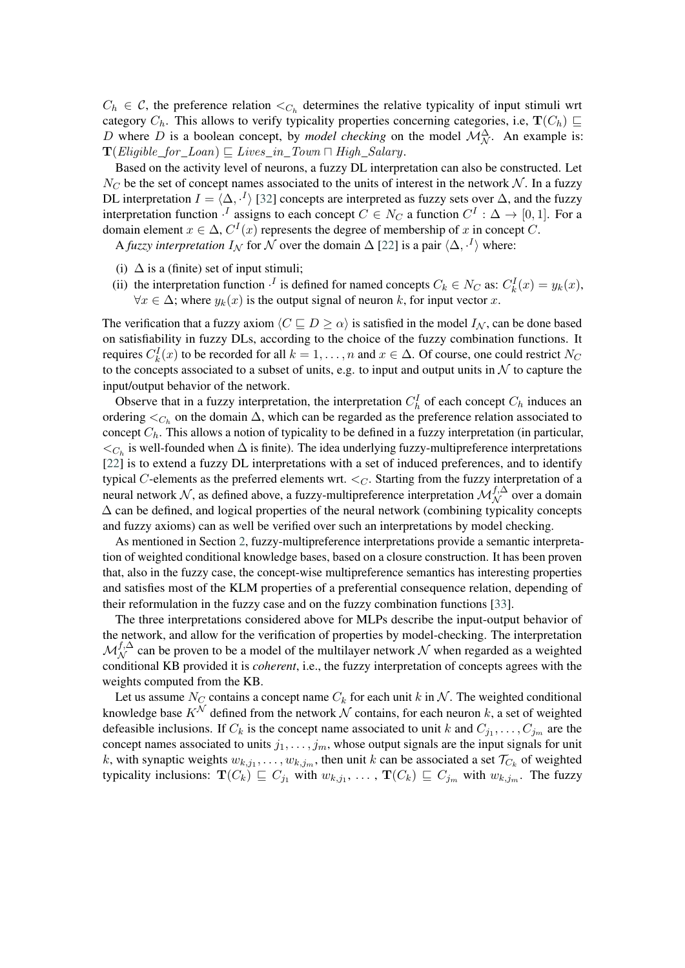$C_h \in \mathcal{C}$ , the preference relation  $\lt_{C_h}$  determines the relative typicality of input stimuli wrt category  $C_h$ . This allows to verify typicality properties concerning categories, i.e,  $\mathbf{T}(C_h) \sqsubseteq$ D where D is a boolean concept, by *model checking* on the model  $\mathcal{M}_{\mathcal{N}}^{\Delta}$ . An example is:  $\mathbf{T}(Eligible\_for\_Loan) \sqsubseteq Lives\_in\_Down \sqcap High\_Salary.$ 

Based on the activity level of neurons, a fuzzy DL interpretation can also be constructed. Let  $N_C$  be the set of concept names associated to the units of interest in the network  $N$ . In a fuzzy DL interpretation  $I = \langle \Delta, \cdot^I \rangle$  [\[32\]](#page-7-2) concepts are interpreted as fuzzy sets over  $\Delta$ , and the fuzzy interpretation function  $\cdot^I$  assigns to each concept  $C \in N_C$  a function  $C^I : \Delta \to [0,1]$ . For a domain element  $x \in \Delta$ ,  $C^{I}(x)$  represents the degree of membership of x in concept C.

A *fuzzy interpretation*  $I_N$  for  $N$  over the domain  $\Delta$  [\[22\]](#page-6-7) is a pair  $\langle \Delta, \cdot^I \rangle$  where:

- (i)  $\Delta$  is a (finite) set of input stimuli;
- (ii) the interpretation function  $\cdot^I$  is defined for named concepts  $C_k \in N_C$  as:  $C_k^I(x) = y_k(x)$ ,  $\forall x \in \Delta$ ; where  $y_k(x)$  is the output signal of neuron k, for input vector x.

The verification that a fuzzy axiom  $\langle C \sqsubseteq D \rangle \ge \alpha$  is satisfied in the model  $I_N$ , can be done based on satisfiability in fuzzy DLs, according to the choice of the fuzzy combination functions. It requires  $C_k^I(x)$  to be recorded for all  $k = 1, \ldots, n$  and  $x \in \Delta$ . Of course, one could restrict  $N_C$ to the concepts associated to a subset of units, e.g. to input and output units in  $N$  to capture the input/output behavior of the network.

Observe that in a fuzzy interpretation, the interpretation  $C_h^I$  of each concept  $C_h$  induces an ordering  $\lt_{C_h}$  on the domain  $\Delta$ , which can be regarded as the preference relation associated to concept  $C_h$ . This allows a notion of typicality to be defined in a fuzzy interpretation (in particular,  $\lt_{C_h}$  is well-founded when  $\Delta$  is finite). The idea underlying fuzzy-multipreference interpretations [\[22\]](#page-6-7) is to extend a fuzzy DL interpretations with a set of induced preferences, and to identify typical  $C$ -elements as the preferred elements wrt.  $\lt_C$ . Starting from the fuzzy interpretation of a neural network  $\mathcal N$ , as defined above, a fuzzy-multipreference interpretation  $\mathcal M^{f,\Delta}_{\mathcal N}$  over a domain  $\Delta$  can be defined, and logical properties of the neural network (combining typicality concepts and fuzzy axioms) can as well be verified over such an interpretations by model checking.

As mentioned in Section [2,](#page-1-0) fuzzy-multipreference interpretations provide a semantic interpretation of weighted conditional knowledge bases, based on a closure construction. It has been proven that, also in the fuzzy case, the concept-wise multipreference semantics has interesting properties and satisfies most of the KLM properties of a preferential consequence relation, depending of their reformulation in the fuzzy case and on the fuzzy combination functions [\[33\]](#page-7-3).

The three interpretations considered above for MLPs describe the input-output behavior of the network, and allow for the verification of properties by model-checking. The interpretation  $M_N^{f,\Delta}$  can be proven to be a model of the multilayer network  $N$  when regarded as a weighted conditional KB provided it is *coherent*, i.e., the fuzzy interpretation of concepts agrees with the weights computed from the KB.

Let us assume  $N_C$  contains a concept name  $C_k$  for each unit k in N. The weighted conditional knowledge base  $K^{\mathcal{N}}$  defined from the network  $\mathcal N$  contains, for each neuron k, a set of weighted defeasible inclusions. If  $C_k$  is the concept name associated to unit k and  $C_{j_1}, \ldots, C_{j_m}$  are the concept names associated to units  $j_1, \ldots, j_m$ , whose output signals are the input signals for unit k, with synaptic weights  $w_{k,j_1}, \ldots, w_{k,j_m}$ , then unit k can be associated a set  $\mathcal{T}_{C_k}$  of weighted typicality inclusions:  $\mathbf{T}(C_k) \sqsubseteq C_{j_1}$  with  $w_{k,j_1}, \ldots, \mathbf{T}(C_k) \sqsubseteq C_{j_m}$  with  $w_{k,j_m}$ . The fuzzy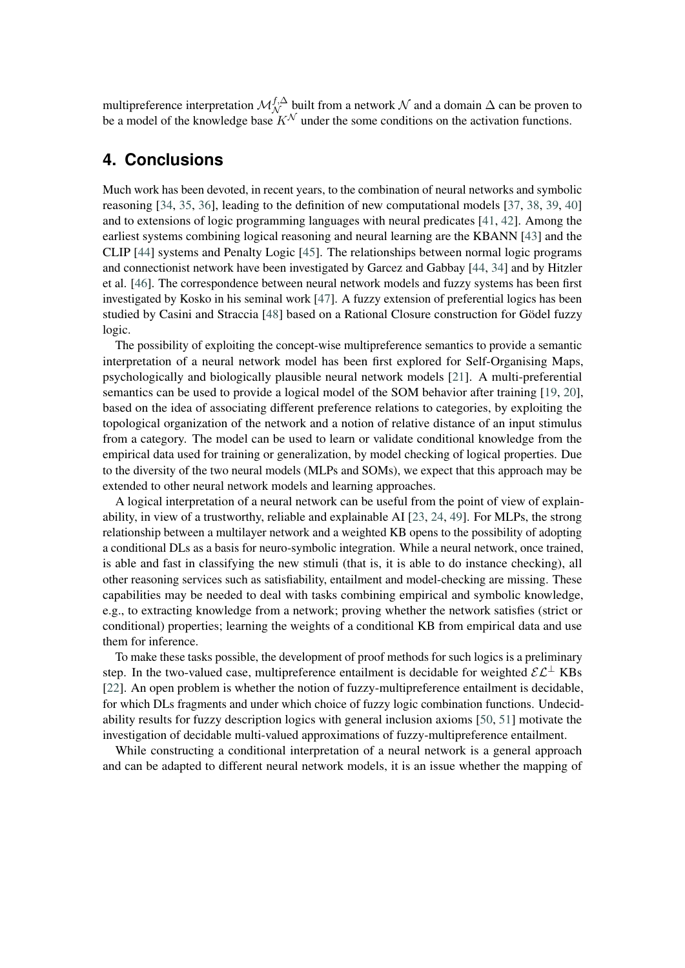multipreference interpretation  $\mathcal{M}_{\mathcal{N}}^{f,\Delta}$  built from a network  $\mathcal N$  and a domain  $\Delta$  can be proven to be a model of the knowledge base  $K^{\mathcal{N}}$  under the some conditions on the activation functions.

# **4. Conclusions**

Much work has been devoted, in recent years, to the combination of neural networks and symbolic reasoning [\[34,](#page-7-4) [35,](#page-7-5) [36\]](#page-7-6), leading to the definition of new computational models [\[37,](#page-7-7) [38,](#page-7-8) [39,](#page-7-9) [40\]](#page-7-10) and to extensions of logic programming languages with neural predicates [\[41,](#page-7-11) [42\]](#page-7-12). Among the earliest systems combining logical reasoning and neural learning are the KBANN [\[43\]](#page-7-13) and the CLIP [\[44\]](#page-7-14) systems and Penalty Logic [\[45\]](#page-7-15). The relationships between normal logic programs and connectionist network have been investigated by Garcez and Gabbay [\[44,](#page-7-14) [34\]](#page-7-4) and by Hitzler et al. [\[46\]](#page-7-16). The correspondence between neural network models and fuzzy systems has been first investigated by Kosko in his seminal work [\[47\]](#page-7-17). A fuzzy extension of preferential logics has been studied by Casini and Straccia [\[48\]](#page-7-18) based on a Rational Closure construction for Gödel fuzzy logic.

The possibility of exploiting the concept-wise multipreference semantics to provide a semantic interpretation of a neural network model has been first explored for Self-Organising Maps, psychologically and biologically plausible neural network models [\[21\]](#page-6-11). A multi-preferential semantics can be used to provide a logical model of the SOM behavior after training [\[19,](#page-6-8) [20\]](#page-6-9), based on the idea of associating different preference relations to categories, by exploiting the topological organization of the network and a notion of relative distance of an input stimulus from a category. The model can be used to learn or validate conditional knowledge from the empirical data used for training or generalization, by model checking of logical properties. Due to the diversity of the two neural models (MLPs and SOMs), we expect that this approach may be extended to other neural network models and learning approaches.

A logical interpretation of a neural network can be useful from the point of view of explainability, in view of a trustworthy, reliable and explainable AI [\[23,](#page-6-0) [24,](#page-6-1) [49\]](#page-8-0). For MLPs, the strong relationship between a multilayer network and a weighted KB opens to the possibility of adopting a conditional DLs as a basis for neuro-symbolic integration. While a neural network, once trained, is able and fast in classifying the new stimuli (that is, it is able to do instance checking), all other reasoning services such as satisfiability, entailment and model-checking are missing. These capabilities may be needed to deal with tasks combining empirical and symbolic knowledge, e.g., to extracting knowledge from a network; proving whether the network satisfies (strict or conditional) properties; learning the weights of a conditional KB from empirical data and use them for inference.

To make these tasks possible, the development of proof methods for such logics is a preliminary step. In the two-valued case, multipreference entailment is decidable for weighted  $\mathcal{EL}^{\perp}$  KBs [\[22\]](#page-6-7). An open problem is whether the notion of fuzzy-multipreference entailment is decidable, for which DLs fragments and under which choice of fuzzy logic combination functions. Undecidability results for fuzzy description logics with general inclusion axioms [\[50,](#page-8-1) [51\]](#page-8-2) motivate the investigation of decidable multi-valued approximations of fuzzy-multipreference entailment.

While constructing a conditional interpretation of a neural network is a general approach and can be adapted to different neural network models, it is an issue whether the mapping of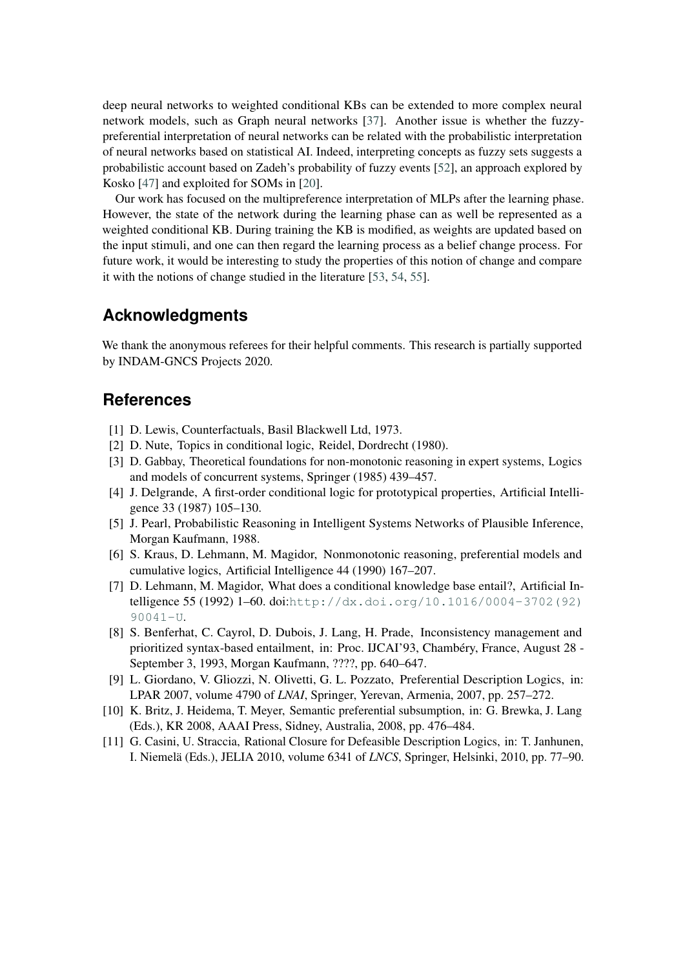deep neural networks to weighted conditional KBs can be extended to more complex neural network models, such as Graph neural networks [\[37\]](#page-7-7). Another issue is whether the fuzzypreferential interpretation of neural networks can be related with the probabilistic interpretation of neural networks based on statistical AI. Indeed, interpreting concepts as fuzzy sets suggests a probabilistic account based on Zadeh's probability of fuzzy events [\[52\]](#page-8-3), an approach explored by Kosko [\[47\]](#page-7-17) and exploited for SOMs in [\[20\]](#page-6-9).

Our work has focused on the multipreference interpretation of MLPs after the learning phase. However, the state of the network during the learning phase can as well be represented as a weighted conditional KB. During training the KB is modified, as weights are updated based on the input stimuli, and one can then regard the learning process as a belief change process. For future work, it would be interesting to study the properties of this notion of change and compare it with the notions of change studied in the literature [\[53,](#page-8-4) [54,](#page-8-5) [55\]](#page-8-6).

### **Acknowledgments**

We thank the anonymous referees for their helpful comments. This research is partially supported by INDAM-GNCS Projects 2020.

### **References**

- [1] D. Lewis, Counterfactuals, Basil Blackwell Ltd, 1973.
- [2] D. Nute, Topics in conditional logic, Reidel, Dordrecht (1980).
- [3] D. Gabbay, Theoretical foundations for non-monotonic reasoning in expert systems, Logics and models of concurrent systems, Springer (1985) 439–457.
- [4] J. Delgrande, A first-order conditional logic for prototypical properties, Artificial Intelligence 33 (1987) 105–130.
- [5] J. Pearl, Probabilistic Reasoning in Intelligent Systems Networks of Plausible Inference, Morgan Kaufmann, 1988.
- <span id="page-5-0"></span>[6] S. Kraus, D. Lehmann, M. Magidor, Nonmonotonic reasoning, preferential models and cumulative logics, Artificial Intelligence 44 (1990) 167–207.
- [7] D. Lehmann, M. Magidor, What does a conditional knowledge base entail?, Artificial Intelligence 55 (1992) 1–60. doi:[http://dx.doi.org/10.1016/0004-3702\(92\)](http://dx.doi.org/http://dx.doi.org/10.1016/0004-3702(92)90041-U) [90041-U](http://dx.doi.org/http://dx.doi.org/10.1016/0004-3702(92)90041-U).
- [8] S. Benferhat, C. Cayrol, D. Dubois, J. Lang, H. Prade, Inconsistency management and prioritized syntax-based entailment, in: Proc. IJCAI'93, Chambéry, France, August 28 - September 3, 1993, Morgan Kaufmann, ????, pp. 640–647.
- [9] L. Giordano, V. Gliozzi, N. Olivetti, G. L. Pozzato, Preferential Description Logics, in: LPAR 2007, volume 4790 of *LNAI*, Springer, Yerevan, Armenia, 2007, pp. 257–272.
- [10] K. Britz, J. Heidema, T. Meyer, Semantic preferential subsumption, in: G. Brewka, J. Lang (Eds.), KR 2008, AAAI Press, Sidney, Australia, 2008, pp. 476–484.
- [11] G. Casini, U. Straccia, Rational Closure for Defeasible Description Logics, in: T. Janhunen, I. Niemelä (Eds.), JELIA 2010, volume 6341 of *LNCS*, Springer, Helsinki, 2010, pp. 77–90.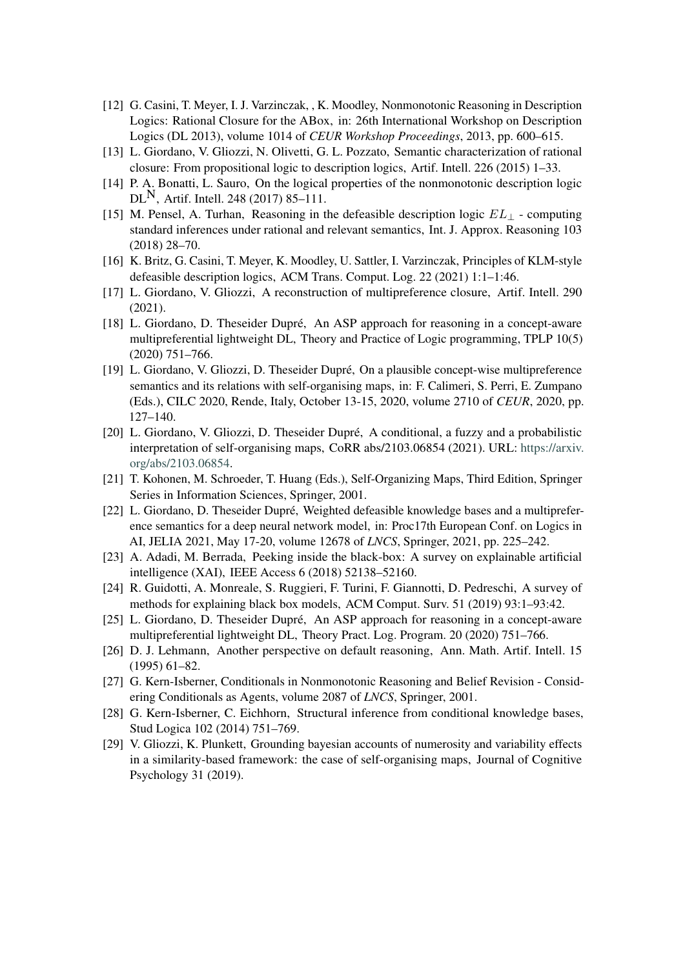- [12] G. Casini, T. Meyer, I. J. Varzinczak, , K. Moodley, Nonmonotonic Reasoning in Description Logics: Rational Closure for the ABox, in: 26th International Workshop on Description Logics (DL 2013), volume 1014 of *CEUR Workshop Proceedings*, 2013, pp. 600–615.
- [13] L. Giordano, V. Gliozzi, N. Olivetti, G. L. Pozzato, Semantic characterization of rational closure: From propositional logic to description logics, Artif. Intell. 226 (2015) 1–33.
- [14] P. A. Bonatti, L. Sauro, On the logical properties of the nonmonotonic description logic  $DL^{N}$ , Artif. Intell. 248 (2017) 85–111.
- [15] M. Pensel, A. Turhan, Reasoning in the defeasible description logic  $EL_{\perp}$  computing standard inferences under rational and relevant semantics, Int. J. Approx. Reasoning 103 (2018) 28–70.
- [16] K. Britz, G. Casini, T. Meyer, K. Moodley, U. Sattler, I. Varzinczak, Principles of KLM-style defeasible description logics, ACM Trans. Comput. Log. 22 (2021) 1:1–1:46.
- [17] L. Giordano, V. Gliozzi, A reconstruction of multipreference closure, Artif. Intell. 290 (2021).
- <span id="page-6-3"></span>[18] L. Giordano, D. Theseider Dupré, An ASP approach for reasoning in a concept-aware multipreferential lightweight DL, Theory and Practice of Logic programming, TPLP 10(5) (2020) 751–766.
- <span id="page-6-8"></span>[19] L. Giordano, V. Gliozzi, D. Theseider Dupré, On a plausible concept-wise multipreference semantics and its relations with self-organising maps, in: F. Calimeri, S. Perri, E. Zumpano (Eds.), CILC 2020, Rende, Italy, October 13-15, 2020, volume 2710 of *CEUR*, 2020, pp. 127–140.
- <span id="page-6-9"></span>[20] L. Giordano, V. Gliozzi, D. Theseider Dupré, A conditional, a fuzzy and a probabilistic interpretation of self-organising maps, CoRR abs/2103.06854 (2021). URL: [https://arxiv.](https://arxiv.org/abs/2103.06854) [org/abs/2103.06854.](https://arxiv.org/abs/2103.06854)
- <span id="page-6-11"></span>[21] T. Kohonen, M. Schroeder, T. Huang (Eds.), Self-Organizing Maps, Third Edition, Springer Series in Information Sciences, Springer, 2001.
- <span id="page-6-7"></span>[22] L. Giordano, D. Theseider Dupré, Weighted defeasible knowledge bases and a multipreference semantics for a deep neural network model, in: Proc17th European Conf. on Logics in AI, JELIA 2021, May 17-20, volume 12678 of *LNCS*, Springer, 2021, pp. 225–242.
- <span id="page-6-0"></span>[23] A. Adadi, M. Berrada, Peeking inside the black-box: A survey on explainable artificial intelligence (XAI), IEEE Access 6 (2018) 52138–52160.
- <span id="page-6-1"></span>[24] R. Guidotti, A. Monreale, S. Ruggieri, F. Turini, F. Giannotti, D. Pedreschi, A survey of methods for explaining black box models, ACM Comput. Surv. 51 (2019) 93:1–93:42.
- <span id="page-6-2"></span>[25] L. Giordano, D. Theseider Dupré, An ASP approach for reasoning in a concept-aware multipreferential lightweight DL, Theory Pract. Log. Program. 20 (2020) 751–766.
- <span id="page-6-4"></span>[26] D. J. Lehmann, Another perspective on default reasoning, Ann. Math. Artif. Intell. 15 (1995) 61–82.
- <span id="page-6-5"></span>[27] G. Kern-Isberner, Conditionals in Nonmonotonic Reasoning and Belief Revision - Considering Conditionals as Agents, volume 2087 of *LNCS*, Springer, 2001.
- <span id="page-6-6"></span>[28] G. Kern-Isberner, C. Eichhorn, Structural inference from conditional knowledge bases, Stud Logica 102 (2014) 751–769.
- <span id="page-6-10"></span>[29] V. Gliozzi, K. Plunkett, Grounding bayesian accounts of numerosity and variability effects in a similarity-based framework: the case of self-organising maps, Journal of Cognitive Psychology 31 (2019).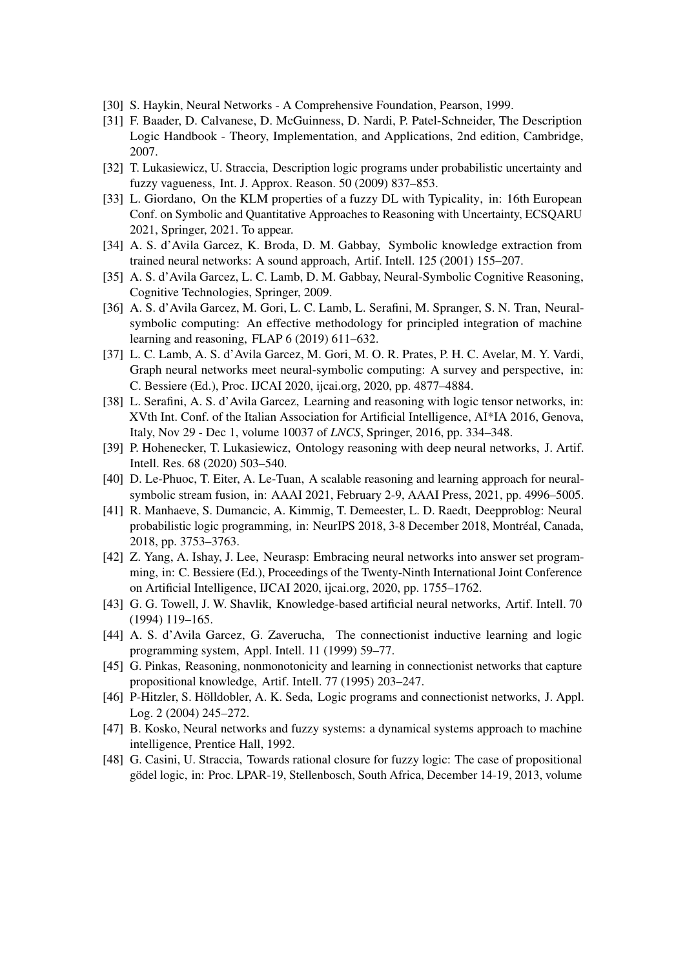- <span id="page-7-0"></span>[30] S. Haykin, Neural Networks - A Comprehensive Foundation, Pearson, 1999.
- <span id="page-7-1"></span>[31] F. Baader, D. Calvanese, D. McGuinness, D. Nardi, P. Patel-Schneider, The Description Logic Handbook - Theory, Implementation, and Applications, 2nd edition, Cambridge, 2007.
- <span id="page-7-2"></span>[32] T. Lukasiewicz, U. Straccia, Description logic programs under probabilistic uncertainty and fuzzy vagueness, Int. J. Approx. Reason. 50 (2009) 837–853.
- <span id="page-7-3"></span>[33] L. Giordano, On the KLM properties of a fuzzy DL with Typicality, in: 16th European Conf. on Symbolic and Quantitative Approaches to Reasoning with Uncertainty, ECSQARU 2021, Springer, 2021. To appear.
- <span id="page-7-4"></span>[34] A. S. d'Avila Garcez, K. Broda, D. M. Gabbay, Symbolic knowledge extraction from trained neural networks: A sound approach, Artif. Intell. 125 (2001) 155–207.
- <span id="page-7-5"></span>[35] A. S. d'Avila Garcez, L. C. Lamb, D. M. Gabbay, Neural-Symbolic Cognitive Reasoning, Cognitive Technologies, Springer, 2009.
- <span id="page-7-6"></span>[36] A. S. d'Avila Garcez, M. Gori, L. C. Lamb, L. Serafini, M. Spranger, S. N. Tran, Neuralsymbolic computing: An effective methodology for principled integration of machine learning and reasoning, FLAP 6 (2019) 611–632.
- <span id="page-7-7"></span>[37] L. C. Lamb, A. S. d'Avila Garcez, M. Gori, M. O. R. Prates, P. H. C. Avelar, M. Y. Vardi, Graph neural networks meet neural-symbolic computing: A survey and perspective, in: C. Bessiere (Ed.), Proc. IJCAI 2020, ijcai.org, 2020, pp. 4877–4884.
- <span id="page-7-8"></span>[38] L. Serafini, A. S. d'Avila Garcez, Learning and reasoning with logic tensor networks, in: XVth Int. Conf. of the Italian Association for Artificial Intelligence, AI\*IA 2016, Genova, Italy, Nov 29 - Dec 1, volume 10037 of *LNCS*, Springer, 2016, pp. 334–348.
- <span id="page-7-9"></span>[39] P. Hohenecker, T. Lukasiewicz, Ontology reasoning with deep neural networks, J. Artif. Intell. Res. 68 (2020) 503–540.
- <span id="page-7-10"></span>[40] D. Le-Phuoc, T. Eiter, A. Le-Tuan, A scalable reasoning and learning approach for neuralsymbolic stream fusion, in: AAAI 2021, February 2-9, AAAI Press, 2021, pp. 4996–5005.
- <span id="page-7-11"></span>[41] R. Manhaeve, S. Dumancic, A. Kimmig, T. Demeester, L. D. Raedt, Deepproblog: Neural probabilistic logic programming, in: NeurIPS 2018, 3-8 December 2018, Montréal, Canada, 2018, pp. 3753–3763.
- <span id="page-7-12"></span>[42] Z. Yang, A. Ishay, J. Lee, Neurasp: Embracing neural networks into answer set programming, in: C. Bessiere (Ed.), Proceedings of the Twenty-Ninth International Joint Conference on Artificial Intelligence, IJCAI 2020, ijcai.org, 2020, pp. 1755–1762.
- <span id="page-7-13"></span>[43] G. G. Towell, J. W. Shavlik, Knowledge-based artificial neural networks, Artif. Intell. 70 (1994) 119–165.
- <span id="page-7-14"></span>[44] A. S. d'Avila Garcez, G. Zaverucha, The connectionist inductive learning and logic programming system, Appl. Intell. 11 (1999) 59–77.
- <span id="page-7-15"></span>[45] G. Pinkas, Reasoning, nonmonotonicity and learning in connectionist networks that capture propositional knowledge, Artif. Intell. 77 (1995) 203–247.
- <span id="page-7-16"></span>[46] P-Hitzler, S. Hölldobler, A. K. Seda, Logic programs and connectionist networks, J. Appl. Log. 2 (2004) 245–272.
- <span id="page-7-17"></span>[47] B. Kosko, Neural networks and fuzzy systems: a dynamical systems approach to machine intelligence, Prentice Hall, 1992.
- <span id="page-7-18"></span>[48] G. Casini, U. Straccia, Towards rational closure for fuzzy logic: The case of propositional gödel logic, in: Proc. LPAR-19, Stellenbosch, South Africa, December 14-19, 2013, volume